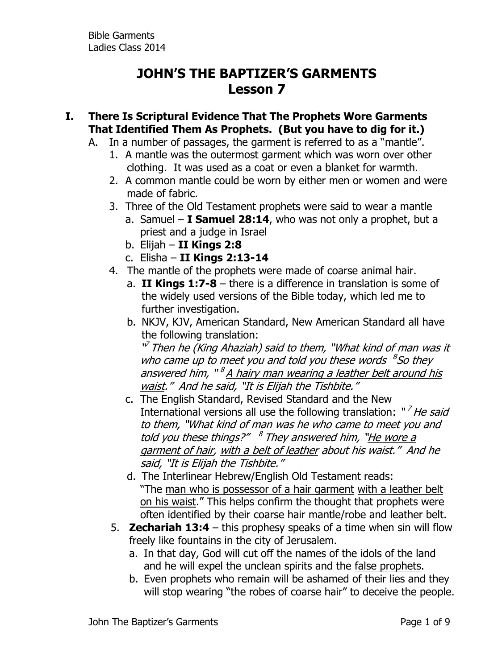## **JOHN'S THE BAPTIZER'S GARMENTS Lesson 7**

- **I. There Is Scriptural Evidence That The Prophets Wore Garments That Identified Them As Prophets. (But you have to dig for it.)**
	- A. In a number of passages, the garment is referred to as a "mantle".
		- 1. A mantle was the outermost garment which was worn over other clothing. It was used as a coat or even a blanket for warmth.
		- 2. A common mantle could be worn by either men or women and were made of fabric.
		- 3. Three of the Old Testament prophets were said to wear a mantle
			- a. Samuel **I Samuel 28:14**, who was not only a prophet, but a priest and a judge in Israel
			- b. Elijah **II Kings 2:8**
			- c. Elisha **II Kings 2:13-14**
		- 4. The mantle of the prophets were made of coarse animal hair.
			- a. **II Kings 1:7-8** there is a difference in translation is some of the widely used versions of the Bible today, which led me to further investigation.
			- b. NKJV, KJV, American Standard, New American Standard all have the following translation:

<sup>w</sup> Then he (King Ahaziah) said to them, "What kind of man was it who came up to meet you and told you these words  ${}^{8}$ So they answered him, "<sup>8</sup> A hairy man wearing a leather belt around his waist." And he said, "It is Elijah the Tishbite."

- c. The English Standard, Revised Standard and the New International versions all use the following translation: "<sup>7</sup> He said to them, "What kind of man was he who came to meet you and told you these things?" <sup>8</sup> They answered him, "<u>He wore a</u> garment of hair, with a belt of leather about his waist." And he said, "It is Elijah the Tishbite."
- d. The Interlinear Hebrew/English Old Testament reads: "The man who is possessor of a hair garment with a leather belt on his waist." This helps confirm the thought that prophets were often identified by their coarse hair mantle/robe and leather belt.
- 5. **Zechariah 13:4** this prophesy speaks of a time when sin will flow freely like fountains in the city of Jerusalem.
	- a. In that day, God will cut off the names of the idols of the land and he will expel the unclean spirits and the false prophets.
	- b. Even prophets who remain will be ashamed of their lies and they will stop wearing "the robes of coarse hair" to deceive the people.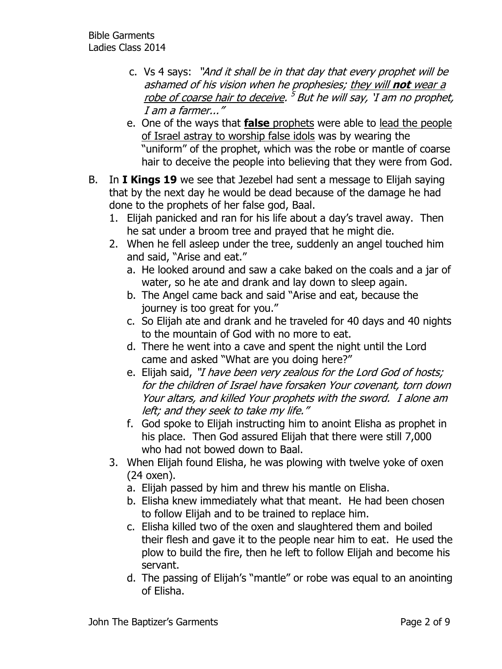- c. Vs 4 says: "And it shall be in that day that every prophet will be ashamed of his vision when he prophesies; they will **not** wear a <u>robe of coarse hair to deceive</u>. <sup>5</sup> But he will say, `I am no prophet, I am a farmer..."
- e. One of the ways that **false** prophets were able to lead the people of Israel astray to worship false idols was by wearing the "uniform" of the prophet, which was the robe or mantle of coarse hair to deceive the people into believing that they were from God.
- B. In **I Kings 19** we see that Jezebel had sent a message to Elijah saying that by the next day he would be dead because of the damage he had done to the prophets of her false god, Baal.
	- 1. Elijah panicked and ran for his life about a day's travel away. Then he sat under a broom tree and prayed that he might die.
	- 2. When he fell asleep under the tree, suddenly an angel touched him and said, "Arise and eat."
		- a. He looked around and saw a cake baked on the coals and a jar of water, so he ate and drank and lay down to sleep again.
		- b. The Angel came back and said "Arise and eat, because the journey is too great for you."
		- c. So Elijah ate and drank and he traveled for 40 days and 40 nights to the mountain of God with no more to eat.
		- d. There he went into a cave and spent the night until the Lord came and asked "What are you doing here?"
		- e. Elijah said, "I have been very zealous for the Lord God of hosts; for the children of Israel have forsaken Your covenant, torn down Your altars, and killed Your prophets with the sword. I alone am left; and they seek to take my life."
		- f. God spoke to Elijah instructing him to anoint Elisha as prophet in his place. Then God assured Elijah that there were still 7,000 who had not bowed down to Baal.
	- 3. When Elijah found Elisha, he was plowing with twelve yoke of oxen (24 oxen).
		- a. Elijah passed by him and threw his mantle on Elisha.
		- b. Elisha knew immediately what that meant. He had been chosen to follow Elijah and to be trained to replace him.
		- c. Elisha killed two of the oxen and slaughtered them and boiled their flesh and gave it to the people near him to eat. He used the plow to build the fire, then he left to follow Elijah and become his servant.
		- d. The passing of Elijah's "mantle" or robe was equal to an anointing of Elisha.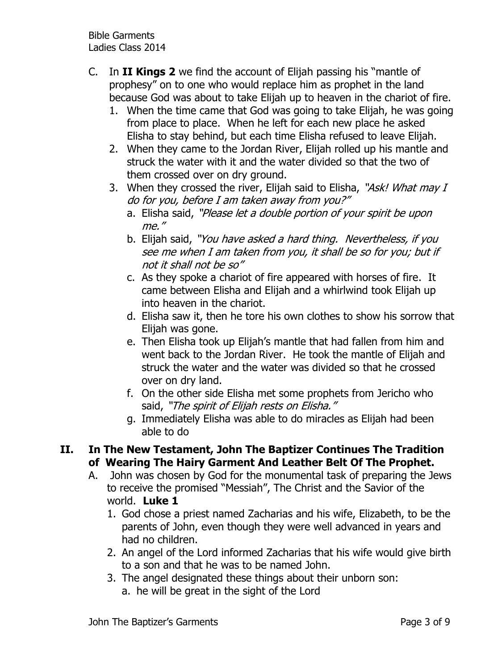Bible Garments Ladies Class 2014

- C. In **II Kings 2** we find the account of Elijah passing his "mantle of prophesy" on to one who would replace him as prophet in the land because God was about to take Elijah up to heaven in the chariot of fire.
	- 1. When the time came that God was going to take Elijah, he was going from place to place. When he left for each new place he asked Elisha to stay behind, but each time Elisha refused to leave Elijah.
	- 2. When they came to the Jordan River, Elijah rolled up his mantle and struck the water with it and the water divided so that the two of them crossed over on dry ground.
	- 3. When they crossed the river, Elijah said to Elisha, "Ask! What may I do for you, before I am taken away from you?"
		- a. Elisha said, "Please let a double portion of your spirit be upon me."
		- b. Elijah said, "You have asked a hard thing. Nevertheless, if you see me when I am taken from you, it shall be so for you; but if not it shall not be so"
		- c. As they spoke a chariot of fire appeared with horses of fire. It came between Elisha and Elijah and a whirlwind took Elijah up into heaven in the chariot.
		- d. Elisha saw it, then he tore his own clothes to show his sorrow that Elijah was gone.
		- e. Then Elisha took up Elijah's mantle that had fallen from him and went back to the Jordan River. He took the mantle of Elijah and struck the water and the water was divided so that he crossed over on dry land.
		- f. On the other side Elisha met some prophets from Jericho who said, "The spirit of Elijah rests on Elisha."
		- g. Immediately Elisha was able to do miracles as Elijah had been able to do

## **II. In The New Testament, John The Baptizer Continues The Tradition of Wearing The Hairy Garment And Leather Belt Of The Prophet.**

- A. John was chosen by God for the monumental task of preparing the Jews to receive the promised "Messiah", The Christ and the Savior of the world. **Luke 1**
	- 1. God chose a priest named Zacharias and his wife, Elizabeth, to be the parents of John, even though they were well advanced in years and had no children.
	- 2. An angel of the Lord informed Zacharias that his wife would give birth to a son and that he was to be named John.
	- 3. The angel designated these things about their unborn son:
		- a. he will be great in the sight of the Lord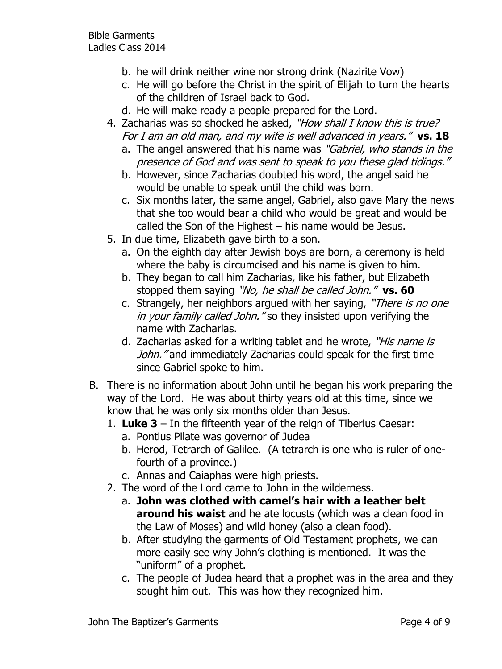- b. he will drink neither wine nor strong drink (Nazirite Vow)
- c. He will go before the Christ in the spirit of Elijah to turn the hearts of the children of Israel back to God.
- d. He will make ready a people prepared for the Lord.
- 4. Zacharias was so shocked he asked, "How shall I know this is true? For I am an old man, and my wife is well advanced in years." **vs. 18**
	- a. The angel answered that his name was "*Gabriel, who stands in the* presence of God and was sent to speak to you these glad tidings."
	- b. However, since Zacharias doubted his word, the angel said he would be unable to speak until the child was born.
	- c. Six months later, the same angel, Gabriel, also gave Mary the news that she too would bear a child who would be great and would be called the Son of the Highest – his name would be Jesus.
- 5. In due time, Elizabeth gave birth to a son.
	- a. On the eighth day after Jewish boys are born, a ceremony is held where the baby is circumcised and his name is given to him.
	- b. They began to call him Zacharias, like his father, but Elizabeth stopped them saying "No, he shall be called John." **vs. 60**
	- c. Strangely, her neighbors argued with her saying, "There is no one in your family called John." so they insisted upon verifying the name with Zacharias.
	- d. Zacharias asked for a writing tablet and he wrote, "His name is John." and immediately Zacharias could speak for the first time since Gabriel spoke to him.
- B. There is no information about John until he began his work preparing the way of the Lord. He was about thirty years old at this time, since we know that he was only six months older than Jesus.
	- 1. **Luke 3** In the fifteenth year of the reign of Tiberius Caesar:
		- a. Pontius Pilate was governor of Judea
		- b. Herod, Tetrarch of Galilee. (A tetrarch is one who is ruler of onefourth of a province.)
		- c. Annas and Caiaphas were high priests.
	- 2. The word of the Lord came to John in the wilderness.
		- a. **John was clothed with camel's hair with a leather belt around his waist** and he ate locusts (which was a clean food in the Law of Moses) and wild honey (also a clean food).
		- b. After studying the garments of Old Testament prophets, we can more easily see why John's clothing is mentioned. It was the "uniform" of a prophet.
		- c. The people of Judea heard that a prophet was in the area and they sought him out. This was how they recognized him.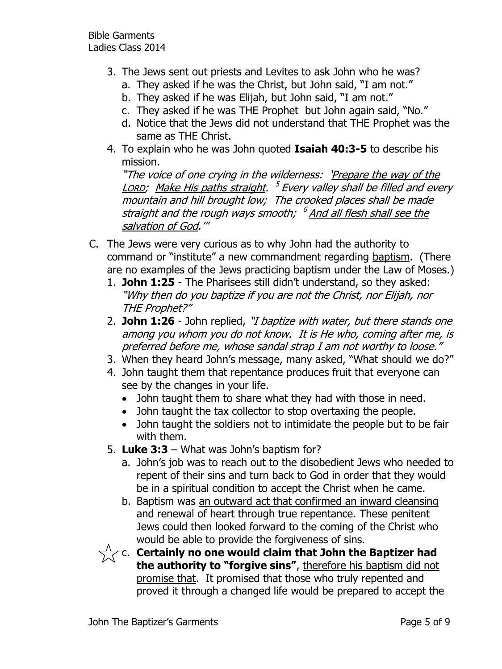- 3. The Jews sent out priests and Levites to ask John who he was?
	- a. They asked if he was the Christ, but John said, "I am not."
	- b. They asked if he was Elijah, but John said, "I am not."
	- c. They asked if he was THE Prophet but John again said, "No."
	- d. Notice that the Jews did not understand that THE Prophet was the same as THE Christ.
- 4. To explain who he was John quoted **Isaiah 40:3-5** to describe his mission.

"The voice of one crying in the wilderness: 'Prepare the way of the <u>Lorp</u>; Make His paths straight. <sup>5</sup> Every valley shall be filled and every mountain and hill brought low; The crooked places shall be made straight and the rough ways smooth; <sup>6</sup> <u>And all flesh shall see the</u> salvation of God.'"

- C. The Jews were very curious as to why John had the authority to command or "institute" a new commandment regarding baptism. (There are no examples of the Jews practicing baptism under the Law of Moses.)
	- 1. **John 1:25** The Pharisees still didn't understand, so they asked: "Why then do you baptize if you are not the Christ, nor Elijah, nor THE Prophet?"
	- 2. **John 1:26** John replied, "I baptize with water, but there stands one among you whom you do not know. It is He who, coming after me, is preferred before me, whose sandal strap I am not worthy to loose.'
	- 3. When they heard John's message, many asked, "What should we do?"
	- 4. John taught them that repentance produces fruit that everyone can see by the changes in your life.
		- John taught them to share what they had with those in need.
		- John taught the tax collector to stop overtaxing the people.
		- John taught the soldiers not to intimidate the people but to be fair with them.
	- 5. **Luke 3:3** What was John's baptism for?
		- a. John's job was to reach out to the disobedient Jews who needed to repent of their sins and turn back to God in order that they would be in a spiritual condition to accept the Christ when he came.
		- b. Baptism was an outward act that confirmed an inward cleansing and renewal of heart through true repentance. These penitent Jews could then looked forward to the coming of the Christ who would be able to provide the forgiveness of sins.
	- $\gamma_{\alpha}^{\prime}\gamma$  c. Certainly no one would claim that John the Baptizer had **the authority to "forgive sins"**, therefore his baptism did not promise that. It promised that those who truly repented and proved it through a changed life would be prepared to accept the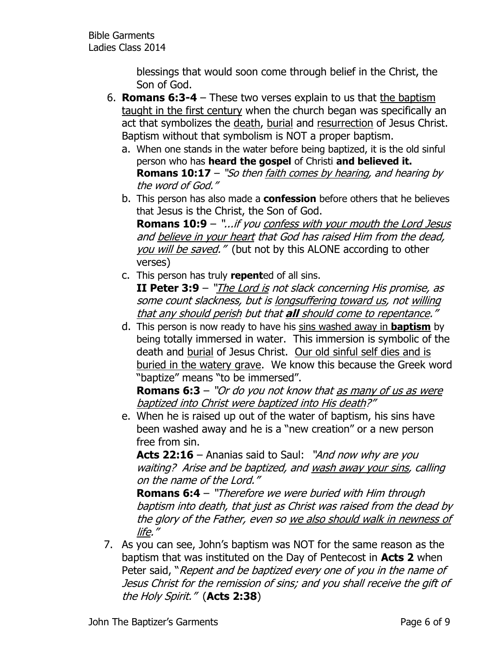blessings that would soon come through belief in the Christ, the Son of God.

- 6. **Romans 6:3-4** These two verses explain to us that the baptism taught in the first century when the church began was specifically an act that symbolizes the death, burial and resurrection of Jesus Christ. Baptism without that symbolism is NOT a proper baptism.
	- a. When one stands in the water before being baptized, it is the old sinful person who has **heard the gospel** of Christi **and believed it. Romans 10:17** – "So then faith comes by hearing, and hearing by the word of God."
	- b. This person has also made a **confession** before others that he believes that Jesus is the Christ, the Son of God.

**Romans 10:9** – "...if you confess with your mouth the Lord Jesus and believe in your heart that God has raised Him from the dead, you will be saved." (but not by this ALONE according to other verses)

- c. This person has truly **repent**ed of all sins. **II Peter 3:9** – "The Lord is not slack concerning His promise, as some count slackness, but is longsuffering toward us, not willing that any should perish but that **all** should come to repentance."
- d. This person is now ready to have his sins washed away in **baptism** by being totally immersed in water. This immersion is symbolic of the death and burial of Jesus Christ. Our old sinful self dies and is buried in the watery grave. We know this because the Greek word "baptize" means "to be immersed".

**Romans 6:3** – "Or do you not know that as many of us as were baptized into Christ were baptized into His death?"

e. When he is raised up out of the water of baptism, his sins have been washed away and he is a "new creation" or a new person free from sin.

**Acts 22:16** – Ananias said to Saul: "And now why are you waiting? Arise and be baptized, and wash away your sins, calling on the name of the Lord."

**Romans 6:4** – "Therefore we were buried with Him through baptism into death, that just as Christ was raised from the dead by the glory of the Father, even so we also should walk in newness of life."

7. As you can see, John's baptism was NOT for the same reason as the baptism that was instituted on the Day of Pentecost in **Acts 2** when Peter said, "Repent and be baptized every one of you in the name of Jesus Christ for the remission of sins; and you shall receive the gift of the Holy Spirit." (**Acts 2:38**)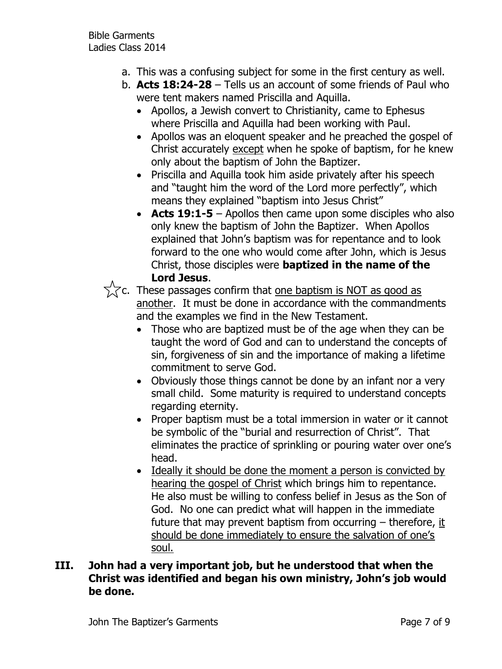- a. This was a confusing subject for some in the first century as well.
- b. **Acts 18:24-28** Tells us an account of some friends of Paul who were tent makers named Priscilla and Aquilla.
	- Apollos, a Jewish convert to Christianity, came to Ephesus where Priscilla and Aquilla had been working with Paul.
	- Apollos was an eloquent speaker and he preached the gospel of Christ accurately except when he spoke of baptism, for he knew only about the baptism of John the Baptizer.
	- Priscilla and Aquilla took him aside privately after his speech and "taught him the word of the Lord more perfectly", which means they explained "baptism into Jesus Christ"
	- **Acts 19:1-5** Apollos then came upon some disciples who also only knew the baptism of John the Baptizer. When Apollos explained that John's baptism was for repentance and to look forward to the one who would come after John, which is Jesus Christ, those disciples were **baptized in the name of the Lord Jesus**.

 $\sqrt{\sqrt{x}}$ c. These passages confirm that <u>one baptism is NOT as good as</u> another. It must be done in accordance with the commandments and the examples we find in the New Testament.

- Those who are baptized must be of the age when they can be taught the word of God and can to understand the concepts of sin, forgiveness of sin and the importance of making a lifetime commitment to serve God.
- Obviously those things cannot be done by an infant nor a very small child. Some maturity is required to understand concepts regarding eternity.
- Proper baptism must be a total immersion in water or it cannot be symbolic of the "burial and resurrection of Christ". That eliminates the practice of sprinkling or pouring water over one's head.
- Ideally it should be done the moment a person is convicted by hearing the gospel of Christ which brings him to repentance. He also must be willing to confess belief in Jesus as the Son of God. No one can predict what will happen in the immediate future that may prevent baptism from occurring – therefore, it should be done immediately to ensure the salvation of one's soul.

## **III. John had a very important job, but he understood that when the Christ was identified and began his own ministry, John's job would be done.**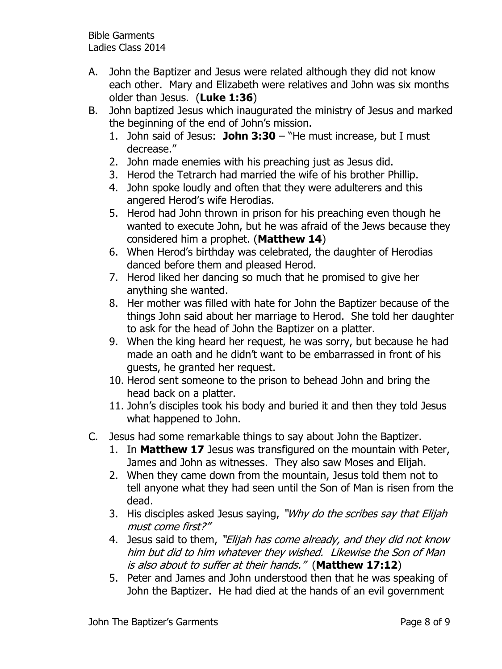Bible Garments Ladies Class 2014

- A. John the Baptizer and Jesus were related although they did not know each other. Mary and Elizabeth were relatives and John was six months older than Jesus. (**Luke 1:36**)
- B. John baptized Jesus which inaugurated the ministry of Jesus and marked the beginning of the end of John's mission.
	- 1. John said of Jesus: **John 3:30** "He must increase, but I must decrease."
	- 2. John made enemies with his preaching just as Jesus did.
	- 3. Herod the Tetrarch had married the wife of his brother Phillip.
	- 4. John spoke loudly and often that they were adulterers and this angered Herod's wife Herodias.
	- 5. Herod had John thrown in prison for his preaching even though he wanted to execute John, but he was afraid of the Jews because they considered him a prophet. (**Matthew 14**)
	- 6. When Herod's birthday was celebrated, the daughter of Herodias danced before them and pleased Herod.
	- 7. Herod liked her dancing so much that he promised to give her anything she wanted.
	- 8. Her mother was filled with hate for John the Baptizer because of the things John said about her marriage to Herod. She told her daughter to ask for the head of John the Baptizer on a platter.
	- 9. When the king heard her request, he was sorry, but because he had made an oath and he didn't want to be embarrassed in front of his guests, he granted her request.
	- 10. Herod sent someone to the prison to behead John and bring the head back on a platter.
	- 11. John's disciples took his body and buried it and then they told Jesus what happened to John.
- C. Jesus had some remarkable things to say about John the Baptizer.
	- 1. In **Matthew 17** Jesus was transfigured on the mountain with Peter, James and John as witnesses. They also saw Moses and Elijah.
	- 2. When they came down from the mountain, Jesus told them not to tell anyone what they had seen until the Son of Man is risen from the dead.
	- 3. His disciples asked Jesus saying, "Why do the scribes say that Elijah must come first?"
	- 4. Jesus said to them, "Elijah has come already, and they did not know him but did to him whatever they wished. Likewise the Son of Man is also about to suffer at their hands." (**Matthew 17:12**)
	- 5. Peter and James and John understood then that he was speaking of John the Baptizer. He had died at the hands of an evil government